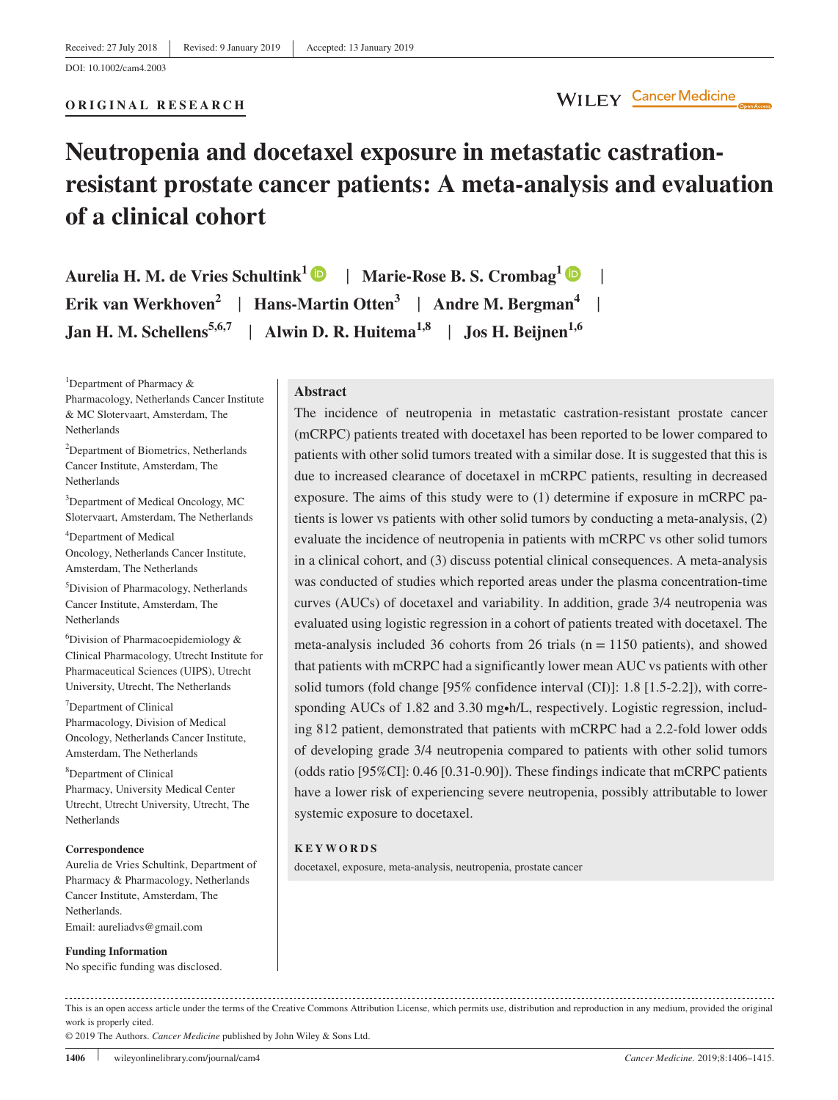**ORIGINAL RESEARCH**

# **Neutropenia and docetaxel exposure in metastatic castration‐ resistant prostate cancer patients: A meta‐analysis and evaluation of a clinical cohort**

**Aurelia H. M. de Vries Schultink1** | **Marie‐Rose B. S. Crombag1** | **Erik van Werkhoven2** | **Hans‐Martin Otten<sup>3</sup>** | **Andre M. Bergman<sup>4</sup>** | **Jan H. M. Schellens**<sup>5,6,7</sup> | Alwin D. R. Huitema<sup>1,8</sup> | Jos H. Beijnen<sup>1,6</sup>

<sup>1</sup>Department of Pharmacy & Pharmacology, Netherlands Cancer Institute & MC Slotervaart, Amsterdam, The Netherlands

2 Department of Biometrics, Netherlands Cancer Institute, Amsterdam, The Netherlands

<sup>3</sup>Department of Medical Oncology, MC Slotervaart, Amsterdam, The Netherlands

4 Department of Medical Oncology, Netherlands Cancer Institute, Amsterdam, The Netherlands

5 Division of Pharmacology, Netherlands Cancer Institute, Amsterdam, The Netherlands

6 Division of Pharmacoepidemiology & Clinical Pharmacology, Utrecht Institute for Pharmaceutical Sciences (UIPS), Utrecht University, Utrecht, The Netherlands

<sup>7</sup>Department of Clinical Pharmacology, Division of Medical Oncology, Netherlands Cancer Institute, Amsterdam, The Netherlands

8 Department of Clinical Pharmacy, University Medical Center Utrecht, Utrecht University, Utrecht, The Netherlands

### **Correspondence**

Aurelia de Vries Schultink, Department of Pharmacy & Pharmacology, Netherlands Cancer Institute, Amsterdam, The Netherlands. Email: [aureliadvs@gmail.com](mailto:aureliadvs@gmail.com)

**Funding Information** No specific funding was disclosed.

### **Abstract**

The incidence of neutropenia in metastatic castration-resistant prostate cancer (mCRPC) patients treated with docetaxel has been reported to be lower compared to patients with other solid tumors treated with a similar dose. It is suggested that this is due to increased clearance of docetaxel in mCRPC patients, resulting in decreased exposure. The aims of this study were to (1) determine if exposure in mCRPC patients is lower vs patients with other solid tumors by conducting a meta‐analysis, (2) evaluate the incidence of neutropenia in patients with mCRPC vs other solid tumors in a clinical cohort, and (3) discuss potential clinical consequences. A meta-analysis was conducted of studies which reported areas under the plasma concentration‐time curves (AUCs) of docetaxel and variability. In addition, grade 3/4 neutropenia was evaluated using logistic regression in a cohort of patients treated with docetaxel. The meta-analysis included 36 cohorts from 26 trials ( $n = 1150$  patients), and showed that patients with mCRPC had a significantly lower mean AUC vs patients with other solid tumors (fold change [95% confidence interval (CI)]: 1.8 [1.5‐2.2]), with corresponding AUCs of 1.82 and 3.30 mg•h/L, respectively. Logistic regression, including 812 patient, demonstrated that patients with mCRPC had a 2.2‐fold lower odds of developing grade 3/4 neutropenia compared to patients with other solid tumors (odds ratio [95%CI]: 0.46 [0.31‐0.90]). These findings indicate that mCRPC patients have a lower risk of experiencing severe neutropenia, possibly attributable to lower systemic exposure to docetaxel.

### **KEYWORDS**

docetaxel, exposure, meta‐analysis, neutropenia, prostate cancer

This is an open access article under the terms of the [Creative Commons Attribution](http://creativecommons.org/licenses/by/4.0/) License, which permits use, distribution and reproduction in any medium, provided the original work is properly cited.

© 2019 The Authors. *Cancer Medicine* published by John Wiley & Sons Ltd.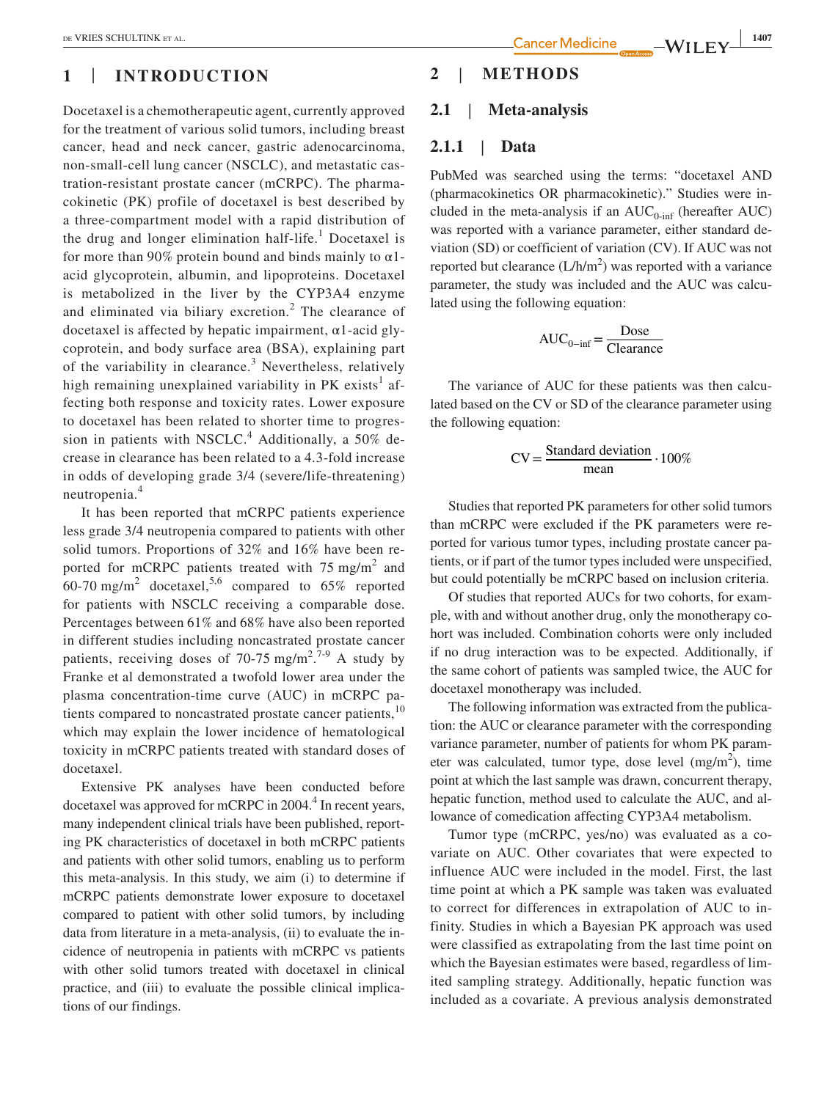## **1** | **INTRODUCTION**

Docetaxel is a chemotherapeutic agent, currently approved for the treatment of various solid tumors, including breast cancer, head and neck cancer, gastric adenocarcinoma, non‐small‐cell lung cancer (NSCLC), and metastatic castration‐resistant prostate cancer (mCRPC). The pharmacokinetic (PK) profile of docetaxel is best described by a three‐compartment model with a rapid distribution of the drug and longer elimination half-life.<sup>1</sup> Docetaxel is for more than 90% protein bound and binds mainly to  $\alpha$ 1acid glycoprotein, albumin, and lipoproteins. Docetaxel is metabolized in the liver by the CYP3A4 enzyme and eliminated via biliary excretion.<sup>2</sup> The clearance of docetaxel is affected by hepatic impairment,  $\alpha$ 1-acid glycoprotein, and body surface area (BSA), explaining part of the variability in clearance.<sup>3</sup> Nevertheless, relatively high remaining unexplained variability in PK exists<sup>1</sup> affecting both response and toxicity rates. Lower exposure to docetaxel has been related to shorter time to progression in patients with NSCLC.<sup>4</sup> Additionally, a 50% decrease in clearance has been related to a 4.3‐fold increase in odds of developing grade 3/4 (severe/life‐threatening) neutropenia.<sup>4</sup>

It has been reported that mCRPC patients experience less grade 3/4 neutropenia compared to patients with other solid tumors. Proportions of 32% and 16% have been reported for mCRPC patients treated with  $75 \text{ mg/m}^2$  and 60-70 mg/m<sup>2</sup> docetaxel,<sup>5,6</sup> compared to 65% reported for patients with NSCLC receiving a comparable dose. Percentages between 61% and 68% have also been reported in different studies including noncastrated prostate cancer patients, receiving doses of 70-75 mg/m<sup>2,7-9</sup> A study by Franke et al demonstrated a twofold lower area under the plasma concentration‐time curve (AUC) in mCRPC patients compared to noncastrated prostate cancer patients,<sup>10</sup> which may explain the lower incidence of hematological toxicity in mCRPC patients treated with standard doses of docetaxel.

Extensive PK analyses have been conducted before docetaxel was approved for mCRPC in 2004.<sup>4</sup> In recent years, many independent clinical trials have been published, reporting PK characteristics of docetaxel in both mCRPC patients and patients with other solid tumors, enabling us to perform this meta‐analysis. In this study, we aim (i) to determine if mCRPC patients demonstrate lower exposure to docetaxel compared to patient with other solid tumors, by including data from literature in a meta‐analysis, (ii) to evaluate the incidence of neutropenia in patients with mCRPC vs patients with other solid tumors treated with docetaxel in clinical practice, and (iii) to evaluate the possible clinical implications of our findings.

## **2** | **METHODS**

## **2.1** | **Meta‐analysis**

## **2.1.1** | **Data**

PubMed was searched using the terms: "docetaxel AND (pharmacokinetics OR pharmacokinetic)." Studies were included in the meta-analysis if an  $AUC_{0\text{-inf}}$  (hereafter AUC) was reported with a variance parameter, either standard deviation (SD) or coefficient of variation (CV). If AUC was not reported but clearance  $(L/h/m^2)$  was reported with a variance parameter, the study was included and the AUC was calculated using the following equation:

$$
AUC_{0-inf} = \frac{Dose}{Clearance}
$$

The variance of AUC for these patients was then calculated based on the CV or SD of the clearance parameter using the following equation:

$$
CV = \frac{Standard \ deviation}{mean} \cdot 100\%
$$

Studies that reported PK parameters for other solid tumors than mCRPC were excluded if the PK parameters were reported for various tumor types, including prostate cancer patients, or if part of the tumor types included were unspecified, but could potentially be mCRPC based on inclusion criteria.

Of studies that reported AUCs for two cohorts, for example, with and without another drug, only the monotherapy cohort was included. Combination cohorts were only included if no drug interaction was to be expected. Additionally, if the same cohort of patients was sampled twice, the AUC for docetaxel monotherapy was included.

The following information was extracted from the publication: the AUC or clearance parameter with the corresponding variance parameter, number of patients for whom PK parameter was calculated, tumor type, dose level  $(mg/m<sup>2</sup>)$ , time point at which the last sample was drawn, concurrent therapy, hepatic function, method used to calculate the AUC, and allowance of comedication affecting CYP3A4 metabolism.

Tumor type (mCRPC, yes/no) was evaluated as a covariate on AUC. Other covariates that were expected to influence AUC were included in the model. First, the last time point at which a PK sample was taken was evaluated to correct for differences in extrapolation of AUC to infinity. Studies in which a Bayesian PK approach was used were classified as extrapolating from the last time point on which the Bayesian estimates were based, regardless of limited sampling strategy. Additionally, hepatic function was included as a covariate. A previous analysis demonstrated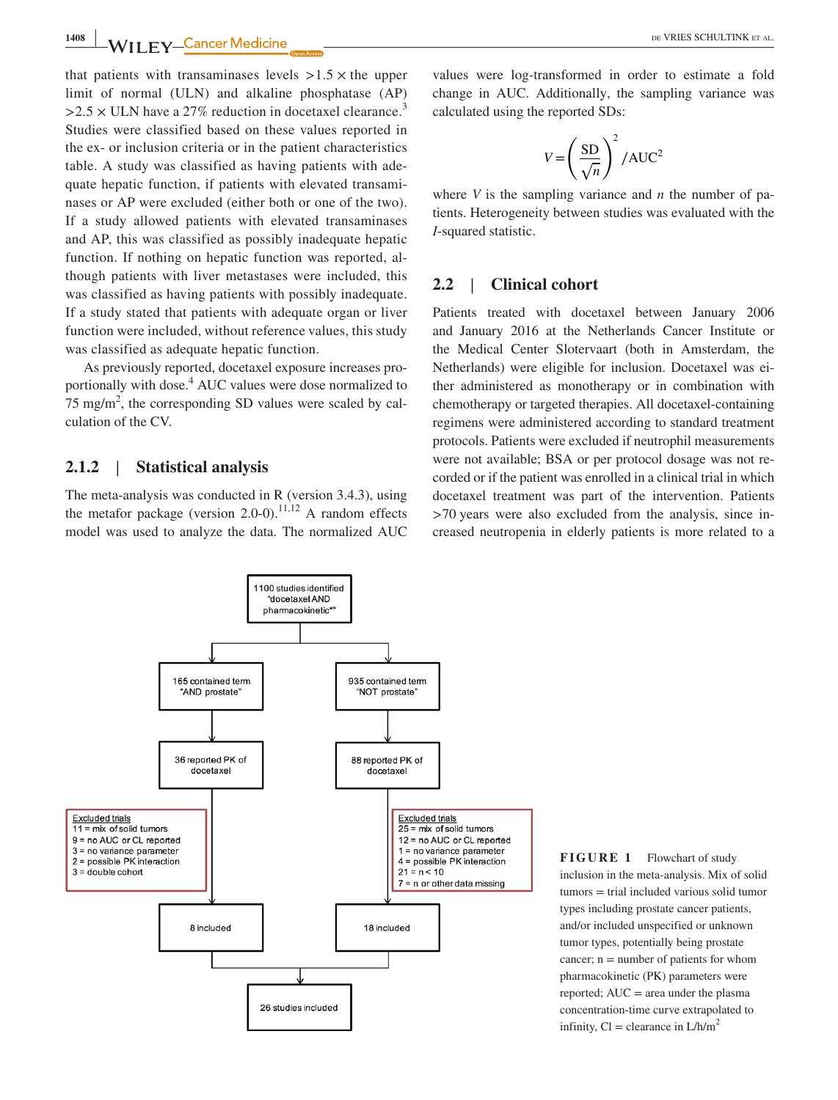**1408 WILLEY** Cancer Medicine **CONSERVANCE CONSERVANCE ALL** 

that patients with transaminases levels  $>1.5 \times$  the upper limit of normal (ULN) and alkaline phosphatase (AP)  $>2.5 \times$  ULN have a 27% reduction in docetaxel clearance.<sup>3</sup> Studies were classified based on these values reported in the ex‐ or inclusion criteria or in the patient characteristics table. A study was classified as having patients with adequate hepatic function, if patients with elevated transaminases or AP were excluded (either both or one of the two). If a study allowed patients with elevated transaminases and AP, this was classified as possibly inadequate hepatic function. If nothing on hepatic function was reported, although patients with liver metastases were included, this was classified as having patients with possibly inadequate. If a study stated that patients with adequate organ or liver function were included, without reference values, this study was classified as adequate hepatic function.

As previously reported, docetaxel exposure increases proportionally with dose.<sup>4</sup> AUC values were dose normalized to  $75 \text{ mg/m}^2$ , the corresponding SD values were scaled by calculation of the CV.

## **2.1.2** | **Statistical analysis**

The meta-analysis was conducted in R (version 3.4.3), using the metafor package (version 2.0-0).<sup>11,12</sup> A random effects model was used to analyze the data. The normalized AUC values were log‐transformed in order to estimate a fold change in AUC. Additionally, the sampling variance was calculated using the reported SDs:

$$
V = \left(\frac{\text{SD}}{\sqrt{n}}\right)^2 / \text{AUC}^2
$$

where  $V$  is the sampling variance and  $n$  the number of patients. Heterogeneity between studies was evaluated with the *I*‐squared statistic.

## **2.2** | **Clinical cohort**

Patients treated with docetaxel between January 2006 and January 2016 at the Netherlands Cancer Institute or the Medical Center Slotervaart (both in Amsterdam, the Netherlands) were eligible for inclusion. Docetaxel was either administered as monotherapy or in combination with chemotherapy or targeted therapies. All docetaxel‐containing regimens were administered according to standard treatment protocols. Patients were excluded if neutrophil measurements were not available; BSA or per protocol dosage was not recorded or if the patient was enrolled in a clinical trial in which docetaxel treatment was part of the intervention. Patients >70 years were also excluded from the analysis, since increased neutropenia in elderly patients is more related to a



**FIGURE 1** Flowchart of study inclusion in the meta‐analysis. Mix of solid tumors = trial included various solid tumor types including prostate cancer patients, and/or included unspecified or unknown tumor types, potentially being prostate cancer;  $n =$  number of patients for whom pharmacokinetic (PK) parameters were reported;  $AUC = area$  under the plasma concentration‐time curve extrapolated to infinity,  $Cl =$  clearance in  $L/h/m^2$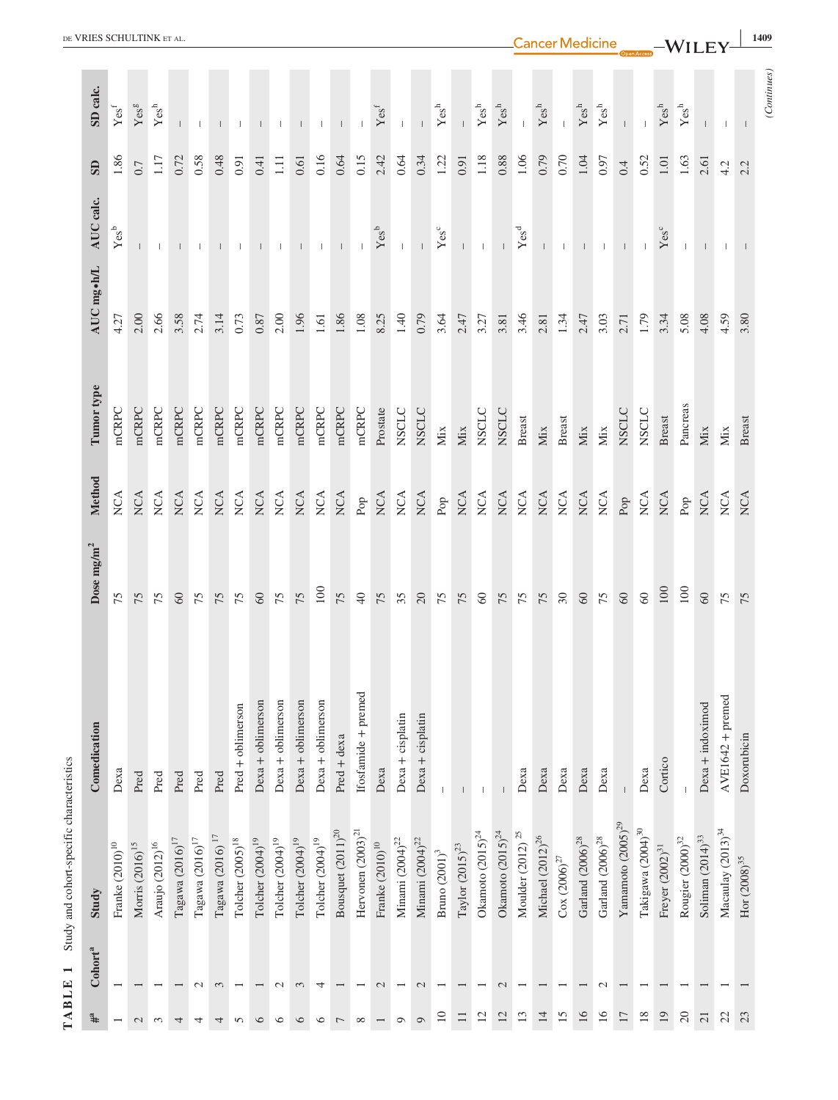|                                           | DE VRIES SCHULTINK ET AL<br><b>Cancer Medicine</b><br><b>1409</b><br>$-WILEY$ |                           |                      |                           |                          |                                 |                           |                          |                       |                       |                       |                       |                          |                          |                           |                                 |                      |                                 |                      |                          |                         |                          |                           |                                                        |                         |                         |                        |                                   |                           |                         |                       |                                   |                                         |                  |
|-------------------------------------------|-------------------------------------------------------------------------------|---------------------------|----------------------|---------------------------|--------------------------|---------------------------------|---------------------------|--------------------------|-----------------------|-----------------------|-----------------------|-----------------------|--------------------------|--------------------------|---------------------------|---------------------------------|----------------------|---------------------------------|----------------------|--------------------------|-------------------------|--------------------------|---------------------------|--------------------------------------------------------|-------------------------|-------------------------|------------------------|-----------------------------------|---------------------------|-------------------------|-----------------------|-----------------------------------|-----------------------------------------|------------------|
|                                           |                                                                               |                           |                      |                           |                          |                                 |                           |                          |                       |                       |                       |                       |                          |                          |                           |                                 |                      |                                 |                      |                          |                         |                          |                           |                                                        |                         |                         |                        |                                   |                           |                         |                       |                                   |                                         |                  |
|                                           | SD calc.                                                                      | Yes <sup>f</sup>          | Yes <sup>g</sup>     | $\mathbf{Yes}^\mathsf{h}$ |                          | $\mathbf{I}$                    |                           |                          |                       |                       |                       | $\mathbf{L}$          |                          |                          | $Yes^f$                   |                                 |                      | $\mathbf{Yes}^\text{h}$         |                      | $\mathbf{Yes}^\text{h}$  | $\mathbf{Yes}^\text{h}$ |                          | $\mathbf{Yes}^\mathsf{h}$ |                                                        | $\mathbf{Yes}^\text{h}$ | $\mathbf{Yes}^\text{h}$ |                        |                                   | $\mathbf{Yes}^\mathsf{h}$ | $\mathbf{Yes}^\text{h}$ |                       | $\mathbb{L}$                      |                                         | <i>Continues</i> |
|                                           | $\mathbf{S}$                                                                  | 1.86                      | 0.7                  | 1.17                      | 0.72                     | 0.58                            | 0.48                      | 0.91                     | 0.41                  | 1.11                  | 0.61                  | 0.16                  | 0.64                     | 0.15                     | 2.42                      | 0.64                            | 0.34                 | 1.22                            | 0.91                 | $1.18\,$                 | $0.88\,$                | 1.06                     | 0.79                      | 0.70                                                   | 1.04                    | 0.97                    | 0.4                    | 0.52                              | $1.01\,$                  | 1.63                    | 2.61                  | 4.2                               | 2.2                                     |                  |
|                                           | AUC calc.                                                                     | $\mathbf{Yes}^\mathsf{b}$ |                      |                           |                          |                                 |                           | $\perp$                  |                       |                       |                       | $\mathbf{I}$          |                          |                          | $\mathbf{Yes}^\mathsf{b}$ | $\mathbb{L}$                    | $\perp$              | Yes <sup>c</sup>                | $\mathbb{L}$         | $\mathbf{L}$             |                         | Yes <sup>d</sup>         |                           | $\mathbb{L}$                                           | $\mathbf{L}$            | $\mathbf{L}$            | $\mathbf{L}$           |                                   | Yes <sup>c</sup>          | $\mathbb{L}$            | $\perp$               |                                   |                                         |                  |
|                                           | AUC mg•h/L                                                                    | 4.27                      | 2.00                 | 2.66                      | 3.58                     | 2.74                            | 3.14                      | 0.73                     | 0.87                  | 2.00                  | 1.96                  | 1.61                  | 1.86                     | 1.08                     | 8.25                      | 1.40                            | 0.79                 | 3.64                            | 2.47                 | 3.27                     | 3.81                    | 3.46                     | 2.81                      | 1.34                                                   | 2.47                    | 3.03                    | 2.71                   | 1.79                              | 3.34                      | 5.08                    | 4.08                  | 4.59                              | 3.80                                    |                  |
|                                           | Tumor type                                                                    | mCRPC                     | mCRPC                | mCRPC                     | mCRPC                    | mCRPC                           | mCRPC                     | mCRPC                    | mCRPC                 | mCRPC                 | mCRPC                 | mCRPC                 | mCRPC                    | mCRPC                    | Prostate                  | <b>NSCLC</b>                    | <b>NSCLC</b>         | Mix                             | Mix                  | <b>NSCLC</b>             | <b>NSCLC</b>            | <b>Breast</b>            | Mix                       | <b>Breast</b>                                          | $\rm{Mix}$              | Mix                     | <b>NSCLC</b>           | NSCLC                             | <b>Breast</b>             | Pancreas                | $\rm{Mix}$            | Mix                               | <b>Breast</b>                           |                  |
|                                           | Method                                                                        | NCA                       | <b>NCA</b>           | NCA                       | NCA                      | $\rm NCA$                       | NCA                       | $NCA$                    | NCA                   | $NCA$                 | NCA                   | $NCA$                 | $\rm NCA$                | $\mbox{Pop}$             | NCA                       | $_{\rm NCA}$                    | $NCA$                | $\mathsf{Pop}$                  | $NCA$                | $_{\rm NCA}$             | $NCA$                   | $_{\rm NCA}$             | $_{\rm NCA}$              | $NCA$                                                  | $_{\rm NCA}$            | NCA                     | ${\rm Pop}$            | NCA                               | NCA                       | $_{\rm Pop}$            | NCA                   | NCA                               | NCA                                     |                  |
|                                           | Dose mg/m <sup>2</sup>                                                        | 75                        | 75                   | 75                        | $60\,$                   | 75                              | 75                        | 75                       | 60                    | 75                    | 75                    | 100                   | 75                       | 40                       | 75                        | 35                              | $20\,$               | 75                              | 75                   | $60\,$                   | 75                      | 75                       | 75                        | $30\,$                                                 | $60\,$                  | 75                      | $60\,$                 | $60\,$                            | 100                       | $100\,$                 | 60                    | 75                                | 75                                      |                  |
|                                           | Comedication                                                                  | Desa                      | Pred                 | Pred                      | Pred                     | Pred                            | Pred                      | $Pred + oblimerson$      | $Dexa + oblimerson$   | $Dexa + oblimerson$   | Dexa + oblimerson     | $Dexa + oblimerson$   | $Pred + desa$            | Ifosfamide + premed      | Dexa                      | Dexa + cisplatin                | Dexa + cisplatin     |                                 |                      |                          |                         | Desa                     | Dexa                      | Dexa                                                   | Dexa                    | Dexa                    |                        | Desa                              | Cortico                   |                         | $Dexa + indoximod$    | AVE1642 + premed                  | Doxorubicin                             |                  |
| Study and cohort-specific characteristics | Study                                                                         | Franke $(2010)^{10}$      | Morris $(2016)^{15}$ | Araujo $(2012)^{16}$      | Tagawa $(2016)^{17}\,$   | Tagawa $\left(2016\right)^{17}$ | Tagawa (2016) $^{\rm 17}$ | Tolcher $(2005)^{18}$    | Tolcher $(2004)^{19}$ | Tolcher $(2004)^{19}$ | Tolcher $(2004)^{19}$ | Tolcher $(2004)^{19}$ | Bousquet $(2011)^{20}$   | Hervonen $(2003)^{21}$   | Franke $(2010)^{10}\,$    | Minami $\left(2004\right)^{22}$ | Minami $(2004)^{22}$ | Bruno $\left( 2001\right) ^{3}$ | Taylor $(2015)^{23}$ | Okamoto $(2015)^{24}$    | Okamoto $(2015)^{24}$   | Moulder $(2012)^{25}$    | Michael $(2012)^{26}$     | $\ensuremath{\text{Cox}}\xspace\left(2006\right)^{27}$ | Garland $(2006)^{28}$   | Garland $(2006)^{28}\,$ | Yamamoto $(2005)^{29}$ | Takigawa $\left(2004\right)^{30}$ | Freyer $(2002)^{31}$      | Rougier $(2000)^{32}$   | Soliman $(2014)^{33}$ | Macaulay $\left(2013\right)^{34}$ | $\mathrm{Hor} \left( 2008 \right)^{35}$ |                  |
| $\blacksquare$                            | Cohort <sup>a</sup>                                                           | $\overline{\phantom{0}}$  | I                    |                           | $\overline{\phantom{0}}$ | $\mathcal{L}$                   | $\mathfrak{c}$            | $\overline{\phantom{0}}$ | $\overline{ }$        | $\mathcal{L}$         | $\mathfrak{c}$        | 4                     | $\overline{\phantom{0}}$ | $\overline{\phantom{0}}$ | $\mathcal{L}$             | $\overline{\phantom{0}}$        | $\mathcal{L}$        |                                 |                      | $\overline{\phantom{0}}$ | $\mathcal{L}$           | $\overline{\phantom{0}}$ | $\overline{ }$            | I                                                      | $\overline{ }$          | $\mathcal{L}$           | $\overline{ }$         | $\overline{\phantom{0}}$          |                           |                         |                       |                                   |                                         |                  |
| <b>TABLE</b>                              | $\ddagger^a$                                                                  | $\overline{\phantom{0}}$  | $\mathcal{L}$        | $\mathfrak{c}$            | 4                        | 4                               | 4                         | $\sim$                   | $\circ$               | $\circ$               | $\circ$               | $\circ$               | $\overline{ }$           | $\infty$                 |                           | $\circ$                         | $\circ$              | $\Xi$                           | $\Box$               | $12\,$                   | $12\,$                  | $13\,$                   | $14\,$                    | $15\,$                                                 | 16                      | 16                      | $1\,$                  | $18\,$                            | 19                        | $20\,$                  | $\overline{21}$       | 22                                | 23                                      |                  |

DE VRIES SCHULTINK ET AL. **1409**<br>
Cancer Medicine \_\_\_WILEY<sup>1409</sup>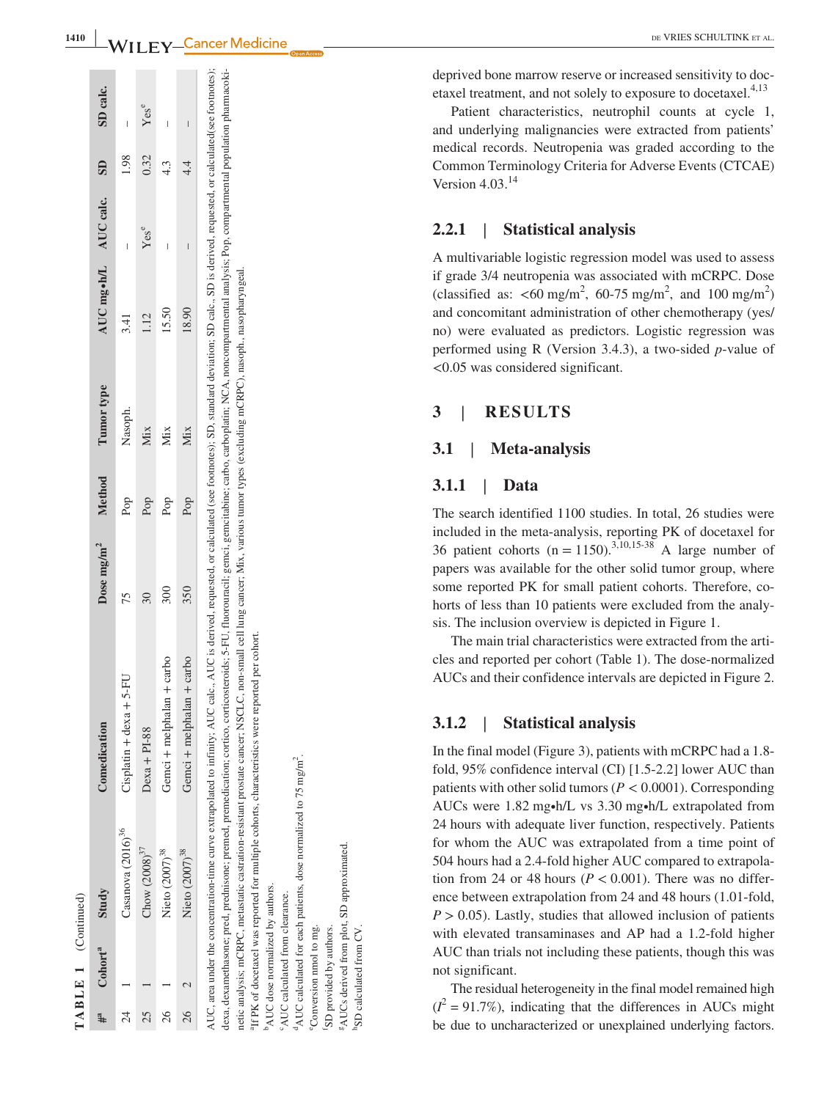| $\boldsymbol{0}$                   |                         |                            |                    |                           |                           | edicine                                                                                                                                                                                                                                                                                                                                                                                                                                                                                                                                                                                                                                                                                                                                              |
|------------------------------------|-------------------------|----------------------------|--------------------|---------------------------|---------------------------|------------------------------------------------------------------------------------------------------------------------------------------------------------------------------------------------------------------------------------------------------------------------------------------------------------------------------------------------------------------------------------------------------------------------------------------------------------------------------------------------------------------------------------------------------------------------------------------------------------------------------------------------------------------------------------------------------------------------------------------------------|
|                                    | SD calc.                | l                          | Yese               | I                         | I                         |                                                                                                                                                                                                                                                                                                                                                                                                                                                                                                                                                                                                                                                                                                                                                      |
|                                    | $\overline{\mathbf{S}}$ | 1.98                       | 0.32               | 4.3                       | 4.4                       |                                                                                                                                                                                                                                                                                                                                                                                                                                                                                                                                                                                                                                                                                                                                                      |
|                                    |                         | l                          | Yese               |                           |                           |                                                                                                                                                                                                                                                                                                                                                                                                                                                                                                                                                                                                                                                                                                                                                      |
|                                    | AUC mg•h/L AUC calc.    | 3.41                       | $\frac{12}{1}$     | 15.50                     | 18.90                     |                                                                                                                                                                                                                                                                                                                                                                                                                                                                                                                                                                                                                                                                                                                                                      |
|                                    | Tumor type              | Nasoph.                    | Mix                | Mix                       | Mix                       |                                                                                                                                                                                                                                                                                                                                                                                                                                                                                                                                                                                                                                                                                                                                                      |
|                                    | Method                  | Pop                        | Pop                | Pop                       | Pop                       |                                                                                                                                                                                                                                                                                                                                                                                                                                                                                                                                                                                                                                                                                                                                                      |
|                                    | Dose mg/m <sup>2</sup>  | 75                         | 30                 | 300                       | 350                       |                                                                                                                                                                                                                                                                                                                                                                                                                                                                                                                                                                                                                                                                                                                                                      |
|                                    | Comedication            | $Cisplation + dexa + 5-FU$ | $Dexa + PI-88$     | Gemci + melphalan + carbo | Gemci + melphalan + carbo | AUC, area under the concentration-time curve extrapolated to infinity; AUC calc., AUC is derived, requested, or calculated (see footnotes); SD, standard deviation; SD calc., SD is derived, requested, or calculated(see foot<br>dexa, dexamethasone; pred, predinsone; premedication; corticos, conticosteroids; S-FU, fluorouracil; gemcitabine; carbo, carboplatin; NCA, noncompartmental analysis; Pop, compartmental population pharmacoki-<br>netic analysis; mCRPC, metastatic castration-resistant prostate cancer; NSCLC, non-small cell lung cancer; Mix, various tumor types (excluding mCRPC), nasoph., nasopharyngeal.<br><sup>9</sup> If PK of docetaxel was reported for multiple cohorts, characteristics were reported per cohort. |
|                                    | Study                   | Casanova $(2016)^{36}$     | $Chow (2008)^{37}$ | Nieto $(2007)^{38}$       | Nieto $(2007)^{38}$       |                                                                                                                                                                                                                                                                                                                                                                                                                                                                                                                                                                                                                                                                                                                                                      |
| $1$ A <b>D</b> L E $1$ (Conditued) | Cohort <sup>a</sup>     |                            |                    |                           |                           | <sup>9</sup> AUC dose normalized by authors.<br>$\alpha_{\text{AIP}}$ readers and $\alpha_{\text{BIP}}$                                                                                                                                                                                                                                                                                                                                                                                                                                                                                                                                                                                                                                              |
|                                    |                         | $\overline{24}$            | 25                 | 26                        | 26                        |                                                                                                                                                                                                                                                                                                                                                                                                                                                                                                                                                                                                                                                                                                                                                      |

**1410**

cAUC calculated from clearance. <sup>°</sup>AUC calculated from clearance

 $d_{\rm AUC}$  calculated for each patients, dose normalized to 75 mg/m<sup>2</sup>.  $^{4}$ AUC calculated for each patients, dose normalized to 75 mg/m<sup>2</sup> eConversion nmol to mg. <sup>e</sup>Conversion nmol to mg.

fSD provided by authors. 'SD provided by authors.

<sup>g</sup>AUCs derived from plot, SD approximated. <sup>2</sup>AUCs derived from plot, SD approximated

**SD** calculated from CV.

SD calculated from CV.

deprived bone marrow reserve or increased sensitivity to doc etaxel treatment, and not solely to exposure to docetaxel. $4,13$ 

Patient characteristics, neutrophil counts at cycle 1, and underlying malignancies were extracted from patients' medical records. Neutropenia was graded according to the Common Terminology Criteria for Adverse Events (CTCAE) Version  $4.03^{14}$ 

### **2.2.1** | **Statistical analysis**

A multivariable logistic regression model was used to assess if grade 3/4 neutropenia was associated with mCRPC. Dose (classified as:  $\lt 60 \text{ mg/m}^2$ , 60-75 mg/m<sup>2</sup>, and 100 mg/m<sup>2</sup>) and concomitant administration of other chemotherapy (yes/ no) were evaluated as predictors. Logistic regression was performed using R (Version 3.4.3), a two‐sided *p*‐value of <0.05 was considered significant.

## **3** | **RESULTS**

#### **3.1** | **Meta‐analysis**

### **3.1.1** | **Data**

The search identified 1100 studies. In total, 26 studies were included in the meta‐analysis, reporting PK of docetaxel for 36 patient cohorts ( $n = 1150$ ).<sup>3,10,15-38</sup> A large number of papers was available for the other solid tumor group, where some reported PK for small patient cohorts. Therefore, co horts of less than 10 patients were excluded from the analysis. The inclusion overview is depicted in Figure 1.

The main trial characteristics were extracted from the arti cles and reported per cohort (Table 1). The dose‐normalized AUCs and their confidence intervals are depicted in Figure 2.

### **3.1.2** | **Statistical analysis**

In the final model (Figure 3), patients with mCRPC had a 1.8‐ fold, 95% confidence interval (CI) [1.5‐2.2] lower AUC than patients with other solid tumors ( $P < 0.0001$ ). Corresponding AUCs were 1.82 mg∙h/L vs 3.30 mg∙h/L extrapolated from 24 hours with adequate liver function, respectively. Patients for whom the AUC was extrapolated from a time point of 504 hours had a 2.4‐fold higher AUC compared to extrapola tion from 24 or 48 hours ( $P < 0.001$ ). There was no difference between extrapolation from 24 and 48 hours (1.01‐fold,  $P > 0.05$ ). Lastly, studies that allowed inclusion of patients with elevated transaminases and AP had a 1.2-fold higher AUC than trials not including these patients, though this was not significant.

The residual heterogeneity in the final model remained high  $(I^2 = 91.7\%)$ , indicating that the differences in AUCs might be due to uncharacterized or unexplained underlying factors.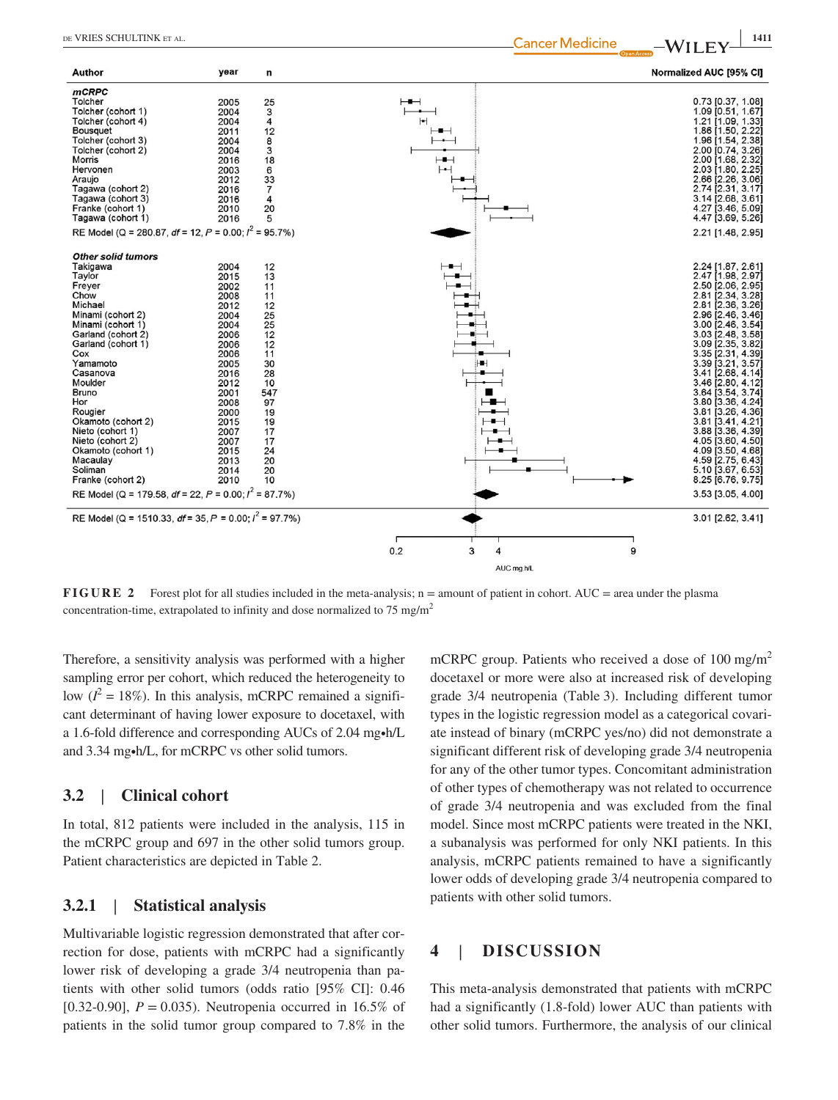| Author                                                                                                                                                                                                                                                                                                                                                                                                                                    | year                                                                                                                                                                                 | n                                                                                                                                       |                               | Normalized AUC [95% CI]                                                                                                                                                                                                                                                                                                                                                                                                                                                                                              |
|-------------------------------------------------------------------------------------------------------------------------------------------------------------------------------------------------------------------------------------------------------------------------------------------------------------------------------------------------------------------------------------------------------------------------------------------|--------------------------------------------------------------------------------------------------------------------------------------------------------------------------------------|-----------------------------------------------------------------------------------------------------------------------------------------|-------------------------------|----------------------------------------------------------------------------------------------------------------------------------------------------------------------------------------------------------------------------------------------------------------------------------------------------------------------------------------------------------------------------------------------------------------------------------------------------------------------------------------------------------------------|
| <b>mCRPC</b><br>Tolcher<br>Tolcher (cohort 1)<br>Tolcher (cohort 4)<br><b>Bousquet</b><br>Tolcher (cohort 3)<br>Tolcher (cohort 2)<br>Morris<br>Hervonen<br>Araujo<br>Tagawa (cohort 2)<br>Tagawa (cohort 3)<br>Franke (cohort 1)<br>Tagawa (cohort 1)<br>RE Model (Q = 280.87, df = 12, P = 0.00; $l^2$ = 95.7%)                                                                                                                         | 2005<br>2004<br>2004<br>2011<br>2004<br>2004<br>2016<br>2003<br>2012<br>2016<br>2016<br>2010<br>2016                                                                                 | 25<br>3<br>4<br>12<br>8<br>3<br>18<br>6<br>33<br>$\overline{7}$<br>4<br>20<br>5                                                         | $\vdash\blacksquare$<br>⊢     | 0.73 [0.37, 1.08]<br>1.09 [0.51, 1.67]<br>1.21 [1.09, 1.33]<br>1.86 [1.50, 2.22]<br>1.96 [1.54, 2.38]<br>2.00 [0.74, 3.26]<br>2.00 [1.68, 2.32]<br>2.03 [1.80, 2.25]<br>2.66 [2.26, 3.06]<br>2.74 [2.31, 3.17]<br>3.14 [2.68, 3.61]<br>4.27 [3.46, 5.09]<br>4.47 [3.69, 5.26]<br>2.21 [1.48, 2.95]                                                                                                                                                                                                                   |
| <b>Other solid tumors</b><br>Takigawa<br>Taylor<br>Freyer<br>Chow<br>Michael<br>Minami (cohort 2)<br>Minami (cohort 1)<br>Garland (cohort 2)<br>Garland (cohort 1)<br>Cox<br>Yamamoto<br>Casanova<br>Moulder<br><b>Bruno</b><br>Hor<br>Rougier<br>Okamoto (cohort 2)<br>Nieto (cohort 1)<br>Nieto (cohort 2)<br>Okamoto (cohort 1)<br>Macaulay<br>Soliman<br>Franke (cohort 2)<br>RE Model (Q = 179.58, df = 22, P = 0.00; $I^2$ = 87.7%) | 2004<br>2015<br>2002<br>2008<br>2012<br>2004<br>2004<br>2006<br>2006<br>2006<br>2005<br>2016<br>2012<br>2001<br>2008<br>2000<br>2015<br>2007<br>2007<br>2015<br>2013<br>2014<br>2010 | 12<br>13<br>11<br>11<br>12<br>25<br>25<br>12<br>12<br>11<br>30<br>28<br>10<br>547<br>97<br>19<br>19<br>17<br>17<br>24<br>20<br>20<br>10 | H<br>$\overline{\phantom{a}}$ | 2.24 [1.87, 2.61]<br>2.47 [1.98, 2.97]<br>2.50 [2.06, 2.95]<br>2.81 [2.34, 3.28]<br>2.81 [2.36, 3.26]<br>2.96 [2.46, 3.46]<br>3.00 [2.46, 3.54]<br>3.03 [2.48, 3.58]<br>3.09 [2.35, 3.82]<br>3.35 [2.31, 4.39]<br>3.39 [3.21, 3.57]<br>3.41 [2.68, 4.14]<br>3.46 [2.80, 4.12]<br>3.64 [3.54, 3.74]<br>3.80 [3.36, 4.24]<br>3.81 [3.26, 4.36]<br>3.81 [3.41, 4.21]<br>3.88 [3.36, 4.39]<br>4.05 [3.60, 4.50]<br>4.09 [3.50, 4.68]<br>4.59 [2.75, 6.43]<br>5.10 [3.67, 6.53]<br>8.25 [6.76, 9.75]<br>3.53 [3.05, 4.00] |
| RE Model (Q = 1510.33, $df = 35$ , P = 0.00; $l^2 = 97.7\%$ )                                                                                                                                                                                                                                                                                                                                                                             |                                                                                                                                                                                      |                                                                                                                                         | 0.2<br>3<br>9                 | 3.01 [2.62, 3.41]                                                                                                                                                                                                                                                                                                                                                                                                                                                                                                    |
|                                                                                                                                                                                                                                                                                                                                                                                                                                           |                                                                                                                                                                                      |                                                                                                                                         | 4<br>AUC mg.h/L               |                                                                                                                                                                                                                                                                                                                                                                                                                                                                                                                      |

**FIGURE 2** Forest plot for all studies included in the meta-analysis; n = amount of patient in cohort. AUC = area under the plasma concentration-time, extrapolated to infinity and dose normalized to 75 mg/m<sup>2</sup>

Therefore, a sensitivity analysis was performed with a higher sampling error per cohort, which reduced the heterogeneity to low  $(I^2 = 18\%)$ . In this analysis, mCRPC remained a significant determinant of having lower exposure to docetaxel, with a 1.6‐fold difference and corresponding AUCs of 2.04 mg∙h/L and 3.34 mg∙h/L, for mCRPC vs other solid tumors.

## **3.2** | **Clinical cohort**

In total, 812 patients were included in the analysis, 115 in the mCRPC group and 697 in the other solid tumors group. Patient characteristics are depicted in Table 2.

## **3.2.1** | **Statistical analysis**

Multivariable logistic regression demonstrated that after correction for dose, patients with mCRPC had a significantly lower risk of developing a grade 3/4 neutropenia than patients with other solid tumors (odds ratio [95% CI]: 0.46 [0.32‐0.90], *P* = 0.035). Neutropenia occurred in 16.5% of patients in the solid tumor group compared to 7.8% in the mCRPC group. Patients who received a dose of 100 mg/m<sup>2</sup> docetaxel or more were also at increased risk of developing grade 3/4 neutropenia (Table 3). Including different tumor types in the logistic regression model as a categorical covariate instead of binary (mCRPC yes/no) did not demonstrate a significant different risk of developing grade 3/4 neutropenia for any of the other tumor types. Concomitant administration of other types of chemotherapy was not related to occurrence of grade 3/4 neutropenia and was excluded from the final model. Since most mCRPC patients were treated in the NKI, a subanalysis was performed for only NKI patients. In this analysis, mCRPC patients remained to have a significantly lower odds of developing grade 3/4 neutropenia compared to patients with other solid tumors.

## **4** | **DISCUSSION**

This meta‐analysis demonstrated that patients with mCRPC had a significantly (1.8-fold) lower AUC than patients with other solid tumors. Furthermore, the analysis of our clinical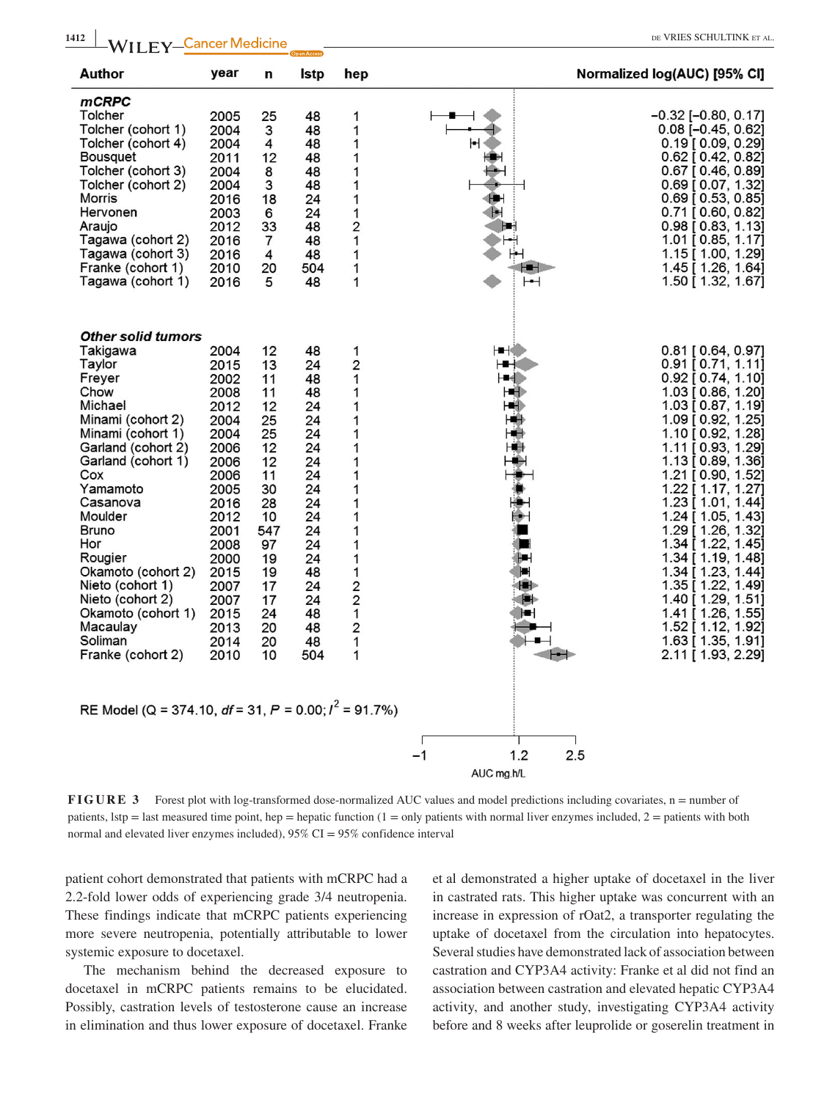| Author                                                                                                                                                                                                                                                                                                                                                                                                                                            | year                                                                                                                                                                                 | n                                                                                                                                       | Istp                                                                                                                                    | hep                                                                                                                    |                                                | Normalized log(AUC) [95% CI]                                                                                                                                                                                                                                                                                                                                                                                                                                                                                                                   |
|---------------------------------------------------------------------------------------------------------------------------------------------------------------------------------------------------------------------------------------------------------------------------------------------------------------------------------------------------------------------------------------------------------------------------------------------------|--------------------------------------------------------------------------------------------------------------------------------------------------------------------------------------|-----------------------------------------------------------------------------------------------------------------------------------------|-----------------------------------------------------------------------------------------------------------------------------------------|------------------------------------------------------------------------------------------------------------------------|------------------------------------------------|------------------------------------------------------------------------------------------------------------------------------------------------------------------------------------------------------------------------------------------------------------------------------------------------------------------------------------------------------------------------------------------------------------------------------------------------------------------------------------------------------------------------------------------------|
| <b>mCRPC</b><br>Tolcher<br>Tolcher (cohort 1)<br>Tolcher (cohort 4)<br>Bousquet<br>Tolcher (cohort 3)<br>Tolcher (cohort 2)<br><b>Morris</b><br>Hervonen<br>Araujo<br>Tagawa (cohort 2)<br>Tagawa (cohort 3)<br>Franke (cohort 1)<br>Tagawa (cohort 1)                                                                                                                                                                                            | 2005<br>2004<br>2004<br>2011<br>2004<br>2004<br>2016<br>2003<br>2012<br>2016<br>2016<br>2010<br>2016                                                                                 | 25<br>3<br>4<br>12<br>8<br>3<br>18<br>6<br>33<br>7<br>4<br>20<br>5                                                                      | 48<br>48<br>48<br>48<br>48<br>48<br>24<br>24<br>48<br>48<br>48<br>504<br>48                                                             | 1<br>1<br>1<br>1<br>1<br>1<br>1<br>1<br>2<br>1<br>1<br>1<br>1                                                          | ⊢                                              | $-0.32$ [ $-0.80, 0.17$ ]<br>$0.08$ $[-0.45, 0.62]$<br>$0.19$ [ $0.09$ , $0.29$ ]<br>$0.62$ [ $0.42, 0.82$ ]<br>$0.67$ [ 0.46, 0.89]<br>0.69 [0.07, 1.32]<br>$0.69$ [ $0.53, 0.85$ ]<br>$0.71$ [ $0.60, 0.82$ ]<br>$0.98$ [ 0.83, 1.13]<br>1.01 [0.85, 1.17]<br>1.15 [ 1.00, 1.29]<br>1.45 [1.26, 1.64]<br>1.50 [1.32, 1.67]                                                                                                                                                                                                                   |
| <b>Other solid tumors</b><br>Takigawa<br>Taylor<br>Freyer<br>Chow<br>Michael<br>Minami (cohort 2)<br>Minami (cohort 1)<br>Garland (cohort 2)<br>Garland (cohort 1)<br>Cox<br>Yamamoto<br>Casanova<br>Moulder<br><b>Bruno</b><br>Hor<br>Rougier<br>Okamoto (cohort 2)<br>Nieto (cohort 1)<br>Nieto (cohort 2)<br>Okamoto (cohort 1)<br>Macaulay<br>Soliman<br>Franke (cohort 2)<br>RE Model (Q = 374.10, $df = 31$ , $P = 0.00$ ; $I^2 = 91.7\%$ ) | 2004<br>2015<br>2002<br>2008<br>2012<br>2004<br>2004<br>2006<br>2006<br>2006<br>2005<br>2016<br>2012<br>2001<br>2008<br>2000<br>2015<br>2007<br>2007<br>2015<br>2013<br>2014<br>2010 | 12<br>13<br>11<br>11<br>12<br>25<br>25<br>12<br>12<br>11<br>30<br>28<br>10<br>547<br>97<br>19<br>19<br>17<br>17<br>24<br>20<br>20<br>10 | 48<br>24<br>48<br>48<br>24<br>24<br>24<br>24<br>24<br>24<br>24<br>24<br>24<br>24<br>24<br>24<br>48<br>24<br>24<br>48<br>48<br>48<br>504 | 1<br>2<br>1<br>1<br>1<br>1<br>1<br>1<br>1<br>1<br>1<br>1<br>1<br>1<br>1<br>1<br>1<br>2<br>$\frac{2}{1}$<br>2<br>1<br>1 | ⊢∎⊣<br>- 1<br>-4<br>- 11<br>⊶<br>Н<br>۱B<br>łН | 0.81 [0.64, 0.97]<br>$0.91$ $[0.71, 1.11]$<br>$0.92$ [ 0.74, 1.10]<br>1.03 [ 0.86, 1.20]<br>1.03 [ 0.87, 1.19]<br>1.09 [0.92, 1.25]<br>1.10 [0.92, 1.28]<br>$1.11$ [ 0.93, 1.29]<br>$1.13$ [ 0.89, 1.36]<br>1.21 [0.90, 1.52]<br>1.22 [ 1.17, 1.27]<br>$1.23$ [ $1.01, 1.44$ ]<br>1.24 [ 1.05, 1.43]<br>1.29 [1.26, 1.32]<br>$1.34$ [ $1.22$ , $1.45$ ]<br>1.34 [ 1.19, 1.48]<br>$1.34$ [ 1.23, 1.44]<br>$1.35$ [ $1.22$ , $1.49$ ]<br>1.40 [1.29, 1.51]<br>1.41 [1.26, 1.55]<br>1.52 [ 1.12, 1.92]<br>1.63 [ 1.35, 1.91]<br>2.11 [1.93, 2.29] |
|                                                                                                                                                                                                                                                                                                                                                                                                                                                   |                                                                                                                                                                                      |                                                                                                                                         |                                                                                                                                         |                                                                                                                        | 1.2<br>-1<br>AUC ma.h/L                        | 2.5                                                                                                                                                                                                                                                                                                                                                                                                                                                                                                                                            |

**FIGURE 3** Forest plot with log-transformed dose-normalized AUC values and model predictions including covariates, n = number of patients, lstp = last measured time point, hep = hepatic function  $(1 = only$  patients with normal liver enzymes included,  $2 =$  patients with both normal and elevated liver enzymes included), 95% CI = 95% confidence interval

patient cohort demonstrated that patients with mCRPC had a 2.2‐fold lower odds of experiencing grade 3/4 neutropenia. These findings indicate that mCRPC patients experiencing more severe neutropenia, potentially attributable to lower systemic exposure to docetaxel.

The mechanism behind the decreased exposure to docetaxel in mCRPC patients remains to be elucidated. Possibly, castration levels of testosterone cause an increase in elimination and thus lower exposure of docetaxel. Franke

et al demonstrated a higher uptake of docetaxel in the liver in castrated rats. This higher uptake was concurrent with an increase in expression of rOat2, a transporter regulating the uptake of docetaxel from the circulation into hepatocytes. Several studies have demonstrated lack of association between castration and CYP3A4 activity: Franke et al did not find an association between castration and elevated hepatic CYP3A4 activity, and another study, investigating CYP3A4 activity before and 8 weeks after leuprolide or goserelin treatment in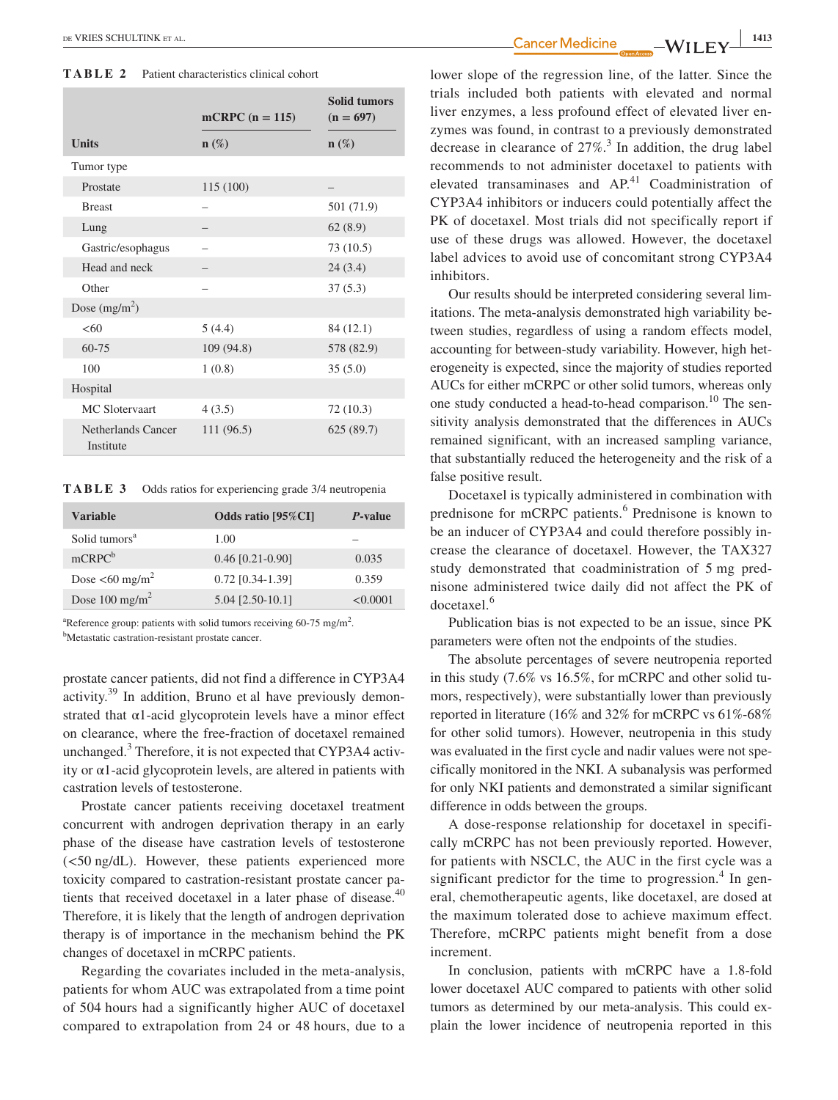**TABLE 2** Patient characteristics clinical cohort

|                                 | mCRPC $(n = 115)$ | <b>Solid tumors</b><br>$(n = 697)$ |
|---------------------------------|-------------------|------------------------------------|
| <b>Units</b>                    | $n(\%)$           | $\mathbf{n}(\%)$                   |
| Tumor type                      |                   |                                    |
| Prostate                        | 115 (100)         |                                    |
| <b>Breast</b>                   |                   | 501 (71.9)                         |
| Lung                            |                   | 62(8.9)                            |
| Gastric/esophagus               |                   | 73 (10.5)                          |
| Head and neck                   |                   | 24(3.4)                            |
| Other                           |                   | 37(5.3)                            |
| Dose $(mg/m^2)$                 |                   |                                    |
| <60                             | 5(4.4)            | 84 (12.1)                          |
| 60-75                           | 109 (94.8)        | 578 (82.9)                         |
| 100                             | 1(0.8)            | 35(5.0)                            |
| Hospital                        |                   |                                    |
| MC Slotervaart                  | 4(3.5)            | 72 (10.3)                          |
| Netherlands Cancer<br>Institute | 111(96.5)         | 625(89.7)                          |

**TABLE 3** Odds ratios for experiencing grade 3/4 neutropenia

| Variable                         | Odds ratio [95%CI] | <i>P</i> -value |
|----------------------------------|--------------------|-----------------|
| Solid tumors <sup>a</sup>        | 1.00               |                 |
| $mCRPC^b$                        | $0.46$ [0.21-0.90] | 0.035           |
| Dose $\leq 60$ mg/m <sup>2</sup> | $0.72$ [0.34-1.39] | 0.359           |
| Dose $100 \text{ mg/m}^2$        | 5.04 [2.50-10.1]   | < 0.0001        |

<sup>a</sup>Reference group: patients with solid tumors receiving 60-75 mg/m<sup>2</sup>.<br><sup>b</sup>Metastatic castration-resistant prostate cancer Metastatic castration‐resistant prostate cancer.

prostate cancer patients, did not find a difference in CYP3A4 activity.39 In addition, Bruno et al have previously demonstrated that  $\alpha$ 1-acid glycoprotein levels have a minor effect on clearance, where the free‐fraction of docetaxel remained unchanged. $3$  Therefore, it is not expected that CYP3A4 activity or  $\alpha$ 1-acid glycoprotein levels, are altered in patients with castration levels of testosterone.

Prostate cancer patients receiving docetaxel treatment concurrent with androgen deprivation therapy in an early phase of the disease have castration levels of testosterone (<50 ng/dL). However, these patients experienced more toxicity compared to castration‐resistant prostate cancer patients that received docetaxel in a later phase of disease.<sup>40</sup> Therefore, it is likely that the length of androgen deprivation therapy is of importance in the mechanism behind the PK changes of docetaxel in mCRPC patients.

Regarding the covariates included in the meta‐analysis, patients for whom AUC was extrapolated from a time point of 504 hours had a significantly higher AUC of docetaxel compared to extrapolation from 24 or 48 hours, due to a

 **|** de VRIES SCHULTINK et al. **<sup>1413</sup>**

lower slope of the regression line, of the latter. Since the trials included both patients with elevated and normal liver enzymes, a less profound effect of elevated liver enzymes was found, in contrast to a previously demonstrated decrease in clearance of  $27\%$ <sup>3</sup>. In addition, the drug label recommends to not administer docetaxel to patients with elevated transaminases and  $AP<sup>41</sup>$  Coadministration of CYP3A4 inhibitors or inducers could potentially affect the PK of docetaxel. Most trials did not specifically report if use of these drugs was allowed. However, the docetaxel label advices to avoid use of concomitant strong CYP3A4 inhibitors.

Our results should be interpreted considering several limitations. The meta‐analysis demonstrated high variability between studies, regardless of using a random effects model, accounting for between‐study variability. However, high heterogeneity is expected, since the majority of studies reported AUCs for either mCRPC or other solid tumors, whereas only one study conducted a head-to-head comparison.<sup>10</sup> The sensitivity analysis demonstrated that the differences in AUCs remained significant, with an increased sampling variance, that substantially reduced the heterogeneity and the risk of a false positive result.

Docetaxel is typically administered in combination with prednisone for mCRPC patients.<sup>6</sup> Prednisone is known to be an inducer of CYP3A4 and could therefore possibly increase the clearance of docetaxel. However, the TAX327 study demonstrated that coadministration of 5 mg prednisone administered twice daily did not affect the PK of docetaxel.<sup>6</sup>

Publication bias is not expected to be an issue, since PK parameters were often not the endpoints of the studies.

The absolute percentages of severe neutropenia reported in this study (7.6% vs 16.5%, for mCRPC and other solid tumors, respectively), were substantially lower than previously reported in literature (16% and 32% for mCRPC vs 61%‐68% for other solid tumors). However, neutropenia in this study was evaluated in the first cycle and nadir values were not specifically monitored in the NKI. A subanalysis was performed for only NKI patients and demonstrated a similar significant difference in odds between the groups.

A dose‐response relationship for docetaxel in specifically mCRPC has not been previously reported. However, for patients with NSCLC, the AUC in the first cycle was a significant predictor for the time to progression. $4$  In general, chemotherapeutic agents, like docetaxel, are dosed at the maximum tolerated dose to achieve maximum effect. Therefore, mCRPC patients might benefit from a dose increment.

In conclusion, patients with mCRPC have a 1.8‐fold lower docetaxel AUC compared to patients with other solid tumors as determined by our meta-analysis. This could explain the lower incidence of neutropenia reported in this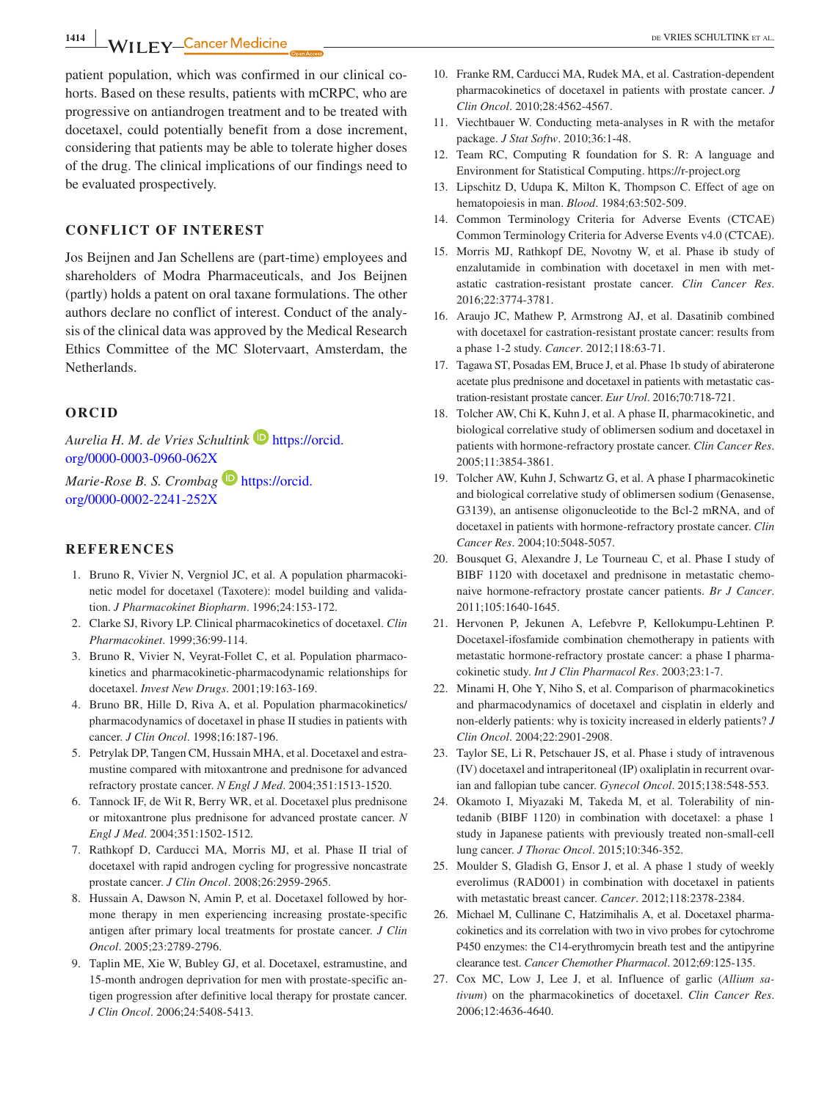**1414**  $\blacksquare$  **WII FY** Cancer Medicine **DE VRIES SCHULTINK ET AL.** 

patient population, which was confirmed in our clinical cohorts. Based on these results, patients with mCRPC, who are progressive on antiandrogen treatment and to be treated with docetaxel, could potentially benefit from a dose increment, considering that patients may be able to tolerate higher doses of the drug. The clinical implications of our findings need to be evaluated prospectively.

## **CONFLICT OF INTEREST**

Jos Beijnen and Jan Schellens are (part‐time) employees and shareholders of Modra Pharmaceuticals, and Jos Beijnen (partly) holds a patent on oral taxane formulations. The other authors declare no conflict of interest. Conduct of the analysis of the clinical data was approved by the Medical Research Ethics Committee of the MC Slotervaart, Amsterdam, the Netherlands.

## **ORCID**

*Aurelia H. M. de Vries Schultink* [https://orcid.](https://orcid.org/0000-0003-0960-062X) [org/0000-0003-0960-062X](https://orcid.org/0000-0003-0960-062X)

*Marie-Rose B. S. Crombag* **■** [https://orcid.](https://orcid.org/0000-0002-2241-252X) [org/0000-0002-2241-252X](https://orcid.org/0000-0002-2241-252X)

## **REFERENCES**

- 1. Bruno R, Vivier N, Vergniol JC, et al. A population pharmacokinetic model for docetaxel (Taxotere): model building and validation. *J Pharmacokinet Biopharm*. 1996;24:153‐172.
- 2. Clarke SJ, Rivory LP. Clinical pharmacokinetics of docetaxel. *Clin Pharmacokinet*. 1999;36:99‐114.
- 3. Bruno R, Vivier N, Veyrat‐Follet C, et al. Population pharmacokinetics and pharmacokinetic‐pharmacodynamic relationships for docetaxel. *Invest New Drugs*. 2001;19:163‐169.
- 4. Bruno BR, Hille D, Riva A, et al. Population pharmacokinetics/ pharmacodynamics of docetaxel in phase II studies in patients with cancer. *J Clin Oncol*. 1998;16:187‐196.
- 5. Petrylak DP, Tangen CM, Hussain MHA, et al. Docetaxel and estramustine compared with mitoxantrone and prednisone for advanced refractory prostate cancer. *N Engl J Med*. 2004;351:1513‐1520.
- 6. Tannock IF, de Wit R, Berry WR, et al. Docetaxel plus prednisone or mitoxantrone plus prednisone for advanced prostate cancer. *N Engl J Med*. 2004;351:1502‐1512.
- 7. Rathkopf D, Carducci MA, Morris MJ, et al. Phase II trial of docetaxel with rapid androgen cycling for progressive noncastrate prostate cancer. *J Clin Oncol*. 2008;26:2959‐2965.
- 8. Hussain A, Dawson N, Amin P, et al. Docetaxel followed by hormone therapy in men experiencing increasing prostate‐specific antigen after primary local treatments for prostate cancer. *J Clin Oncol*. 2005;23:2789‐2796.
- 9. Taplin ME, Xie W, Bubley GJ, et al. Docetaxel, estramustine, and 15‐month androgen deprivation for men with prostate‐specific antigen progression after definitive local therapy for prostate cancer. *J Clin Oncol*. 2006;24:5408‐5413.
- 10. Franke RM, Carducci MA, Rudek MA, et al. Castration‐dependent pharmacokinetics of docetaxel in patients with prostate cancer. *J Clin Oncol*. 2010;28:4562‐4567.
- 11. Viechtbauer W. Conducting meta‐analyses in R with the metafor package. *J Stat Softw*. 2010;36:1‐48.
- 12. Team RC, Computing R foundation for S. R: A language and Environment for Statistical Computing. <https://r-project.org>
- 13. Lipschitz D, Udupa K, Milton K, Thompson C. Effect of age on hematopoiesis in man. *Blood*. 1984;63:502‐509.
- 14. Common Terminology Criteria for Adverse Events (CTCAE) Common Terminology Criteria for Adverse Events v4.0 (CTCAE).
- 15. Morris MJ, Rathkopf DE, Novotny W, et al. Phase ib study of enzalutamide in combination with docetaxel in men with metastatic castration‐resistant prostate cancer. *Clin Cancer Res*. 2016;22:3774‐3781.
- 16. Araujo JC, Mathew P, Armstrong AJ, et al. Dasatinib combined with docetaxel for castration‐resistant prostate cancer: results from a phase 1‐2 study. *Cancer*. 2012;118:63‐71.
- 17. Tagawa ST, Posadas EM, Bruce J, et al. Phase 1b study of abiraterone acetate plus prednisone and docetaxel in patients with metastatic castration‐resistant prostate cancer. *Eur Urol*. 2016;70:718‐721.
- 18. Tolcher AW, Chi K, Kuhn J, et al. A phase II, pharmacokinetic, and biological correlative study of oblimersen sodium and docetaxel in patients with hormone‐refractory prostate cancer. *Clin Cancer Res*. 2005;11:3854‐3861.
- 19. Tolcher AW, Kuhn J, Schwartz G, et al. A phase I pharmacokinetic and biological correlative study of oblimersen sodium (Genasense, G3139), an antisense oligonucleotide to the Bcl-2 mRNA, and of docetaxel in patients with hormone‐refractory prostate cancer. *Clin Cancer Res*. 2004;10:5048‐5057.
- 20. Bousquet G, Alexandre J, Le Tourneau C, et al. Phase I study of BIBF 1120 with docetaxel and prednisone in metastatic chemonaive hormone‐refractory prostate cancer patients. *Br J Cancer*. 2011;105:1640‐1645.
- 21. Hervonen P, Jekunen A, Lefebvre P, Kellokumpu‐Lehtinen P. Docetaxel‐ifosfamide combination chemotherapy in patients with metastatic hormone‐refractory prostate cancer: a phase I pharmacokinetic study. *Int J Clin Pharmacol Res*. 2003;23:1‐7.
- 22. Minami H, Ohe Y, Niho S, et al. Comparison of pharmacokinetics and pharmacodynamics of docetaxel and cisplatin in elderly and non‐elderly patients: why is toxicity increased in elderly patients? *J Clin Oncol*. 2004;22:2901‐2908.
- 23. Taylor SE, Li R, Petschauer JS, et al. Phase i study of intravenous (IV) docetaxel and intraperitoneal (IP) oxaliplatin in recurrent ovarian and fallopian tube cancer. *Gynecol Oncol*. 2015;138:548‐553.
- 24. Okamoto I, Miyazaki M, Takeda M, et al. Tolerability of nintedanib (BIBF 1120) in combination with docetaxel: a phase 1 study in Japanese patients with previously treated non‐small‐cell lung cancer. *J Thorac Oncol*. 2015;10:346‐352.
- 25. Moulder S, Gladish G, Ensor J, et al. A phase 1 study of weekly everolimus (RAD001) in combination with docetaxel in patients with metastatic breast cancer. *Cancer*. 2012;118:2378‐2384.
- 26. Michael M, Cullinane C, Hatzimihalis A, et al. Docetaxel pharmacokinetics and its correlation with two in vivo probes for cytochrome P450 enzymes: the C14‐erythromycin breath test and the antipyrine clearance test. *Cancer Chemother Pharmacol*. 2012;69:125‐135.
- 27. Cox MC, Low J, Lee J, et al. Influence of garlic (*Allium sativum*) on the pharmacokinetics of docetaxel. *Clin Cancer Res*. 2006;12:4636‐4640.